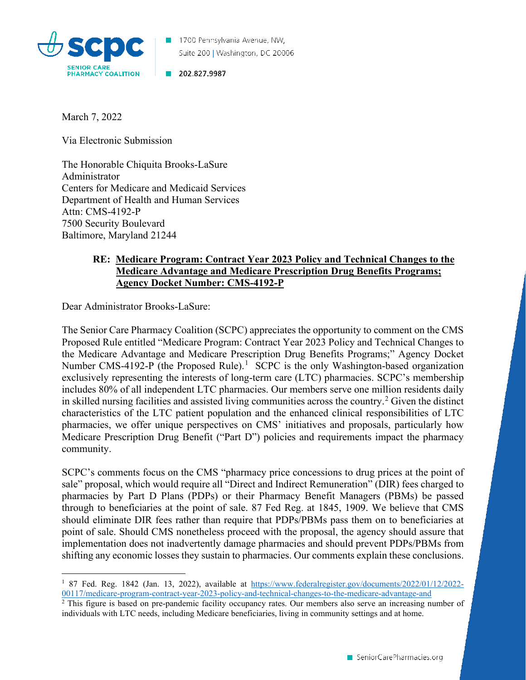

1700 Pennsylvania Avenue, NW, Suite 200 | Washington, DC 20006

202.827.9987

March 7, 2022

Via Electronic Submission

The Honorable Chiquita Brooks-LaSure Administrator Centers for Medicare and Medicaid Services Department of Health and Human Services Attn: CMS-4192-P 7500 Security Boulevard Baltimore, Maryland 21244

## **RE: Medicare Program: Contract Year 2023 Policy and Technical Changes to the Medicare Advantage and Medicare Prescription Drug Benefits Programs; Agency Docket Number: CMS-4192-P**

Dear Administrator Brooks-LaSure:

The Senior Care Pharmacy Coalition (SCPC) appreciates the opportunity to comment on the CMS Proposed Rule entitled "Medicare Program: Contract Year 2023 Policy and Technical Changes to the Medicare Advantage and Medicare Prescription Drug Benefits Programs;" Agency Docket Number CMS-4[1](#page-0-0)92-P (the Proposed Rule).<sup>1</sup> SCPC is the only Washington-based organization exclusively representing the interests of long-term care (LTC) pharmacies. SCPC's membership includes 80% of all independent LTC pharmacies. Our members serve one million residents daily in skilled nursing facilities and assisted living communities across the country.<sup>[2](#page-0-1)</sup> Given the distinct characteristics of the LTC patient population and the enhanced clinical responsibilities of LTC pharmacies, we offer unique perspectives on CMS' initiatives and proposals, particularly how Medicare Prescription Drug Benefit ("Part D") policies and requirements impact the pharmacy community.

SCPC's comments focus on the CMS "pharmacy price concessions to drug prices at the point of sale" proposal, which would require all "Direct and Indirect Remuneration" (DIR) fees charged to pharmacies by Part D Plans (PDPs) or their Pharmacy Benefit Managers (PBMs) be passed through to beneficiaries at the point of sale. 87 Fed Reg. at 1845, 1909. We believe that CMS should eliminate DIR fees rather than require that PDPs/PBMs pass them on to beneficiaries at point of sale. Should CMS nonetheless proceed with the proposal, the agency should assure that implementation does not inadvertently damage pharmacies and should prevent PDPs/PBMs from shifting any economic losses they sustain to pharmacies. Our comments explain these conclusions.

<span id="page-0-0"></span><sup>1</sup> 87 Fed. Reg. 1842 (Jan. 13, 2022), available at [https://www.federalregister.gov/documents/2022/01/12/2022-](https://www.federalregister.gov/documents/2022/01/12/2022-00117/medicare-program-contract-year-2023-policy-and-technical-changes-to-the-medicare-advantage-and) [00117/medicare-program-contract-year-2023-policy-and-technical-changes-to-the-medicare-advantage-and](https://www.federalregister.gov/documents/2022/01/12/2022-00117/medicare-program-contract-year-2023-policy-and-technical-changes-to-the-medicare-advantage-and)

<span id="page-0-1"></span><sup>&</sup>lt;sup>2</sup> This figure is based on pre-pandemic facility occupancy rates. Our members also serve an increasing number of individuals with LTC needs, including Medicare beneficiaries, living in community settings and at home.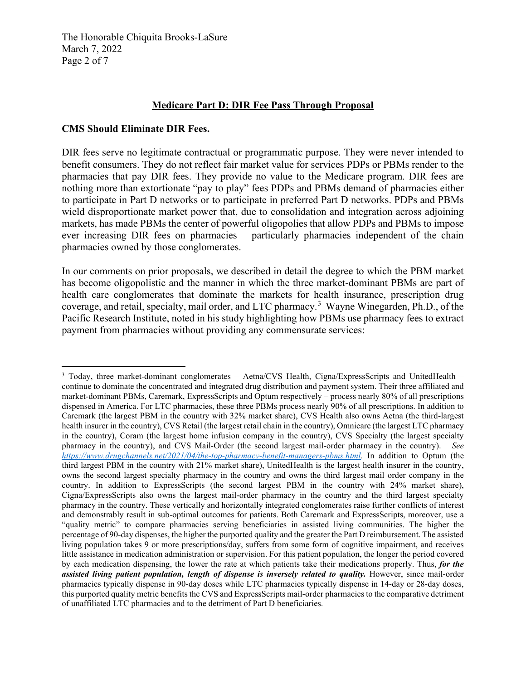The Honorable Chiquita Brooks-LaSure March 7, 2022 Page 2 of 7

## **Medicare Part D: DIR Fee Pass Through Proposal**

## **CMS Should Eliminate DIR Fees.**

DIR fees serve no legitimate contractual or programmatic purpose. They were never intended to benefit consumers. They do not reflect fair market value for services PDPs or PBMs render to the pharmacies that pay DIR fees. They provide no value to the Medicare program. DIR fees are nothing more than extortionate "pay to play" fees PDPs and PBMs demand of pharmacies either to participate in Part D networks or to participate in preferred Part D networks. PDPs and PBMs wield disproportionate market power that, due to consolidation and integration across adjoining markets, has made PBMs the center of powerful oligopolies that allow PDPs and PBMs to impose ever increasing DIR fees on pharmacies – particularly pharmacies independent of the chain pharmacies owned by those conglomerates.

In our comments on prior proposals, we described in detail the degree to which the PBM market has become oligopolistic and the manner in which the three market-dominant PBMs are part of health care conglomerates that dominate the markets for health insurance, prescription drug coverage, and retail, specialty, mail order, and LTC pharmacy.<sup>[3](#page-1-0)</sup> Wayne Winegarden, Ph.D., of the Pacific Research Institute, noted in his study highlighting how PBMs use pharmacy fees to extract payment from pharmacies without providing any commensurate services:

<span id="page-1-0"></span><sup>&</sup>lt;sup>3</sup> Today, three market-dominant conglomerates – Aetna/CVS Health, Cigna/ExpressScripts and UnitedHealth – continue to dominate the concentrated and integrated drug distribution and payment system. Their three affiliated and market-dominant PBMs, Caremark, ExpressScripts and Optum respectively – process nearly 80% of all prescriptions dispensed in America. For LTC pharmacies, these three PBMs process nearly 90% of all prescriptions. In addition to Caremark (the largest PBM in the country with 32% market share), CVS Health also owns Aetna (the third-largest health insurer in the country), CVS Retail (the largest retail chain in the country), Omnicare (the largest LTC pharmacy in the country), Coram (the largest home infusion company in the country), CVS Specialty (the largest specialty pharmacy in the country), and CVS Mail-Order (the second largest mail-order pharmacy in the country). *See [https://www.drugchannels.net/2021/04/the-top-pharmacy-benefit-managers-pbms.html.](https://www.drugchannels.net/2021/04/the-top-pharmacy-benefit-managers-pbms.html)* In addition to Optum (the third largest PBM in the country with 21% market share), UnitedHealth is the largest health insurer in the country, owns the second largest specialty pharmacy in the country and owns the third largest mail order company in the country. In addition to ExpressScripts (the second largest PBM in the country with 24% market share), Cigna/ExpressScripts also owns the largest mail-order pharmacy in the country and the third largest specialty pharmacy in the country. These vertically and horizontally integrated conglomerates raise further conflicts of interest and demonstrably result in sub-optimal outcomes for patients. Both Caremark and ExpressScripts, moreover, use a "quality metric" to compare pharmacies serving beneficiaries in assisted living communities. The higher the percentage of 90-day dispenses, the higher the purported quality and the greater the Part D reimbursement. The assisted living population takes 9 or more prescriptions/day, suffers from some form of cognitive impairment, and receives little assistance in medication administration or supervision. For this patient population, the longer the period covered by each medication dispensing, the lower the rate at which patients take their medications properly. Thus, *for the assisted living patient population, length of dispense is inversely related to quality.* However, since mail-order pharmacies typically dispense in 90-day doses while LTC pharmacies typically dispense in 14-day or 28-day doses, this purported quality metric benefits the CVS and ExpressScripts mail-order pharmacies to the comparative detriment of unaffiliated LTC pharmacies and to the detriment of Part D beneficiaries.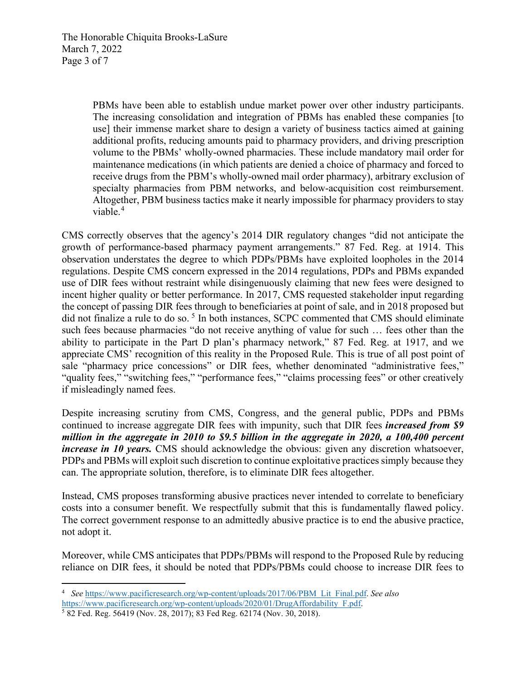PBMs have been able to establish undue market power over other industry participants. The increasing consolidation and integration of PBMs has enabled these companies [to use] their immense market share to design a variety of business tactics aimed at gaining additional profits, reducing amounts paid to pharmacy providers, and driving prescription volume to the PBMs' wholly-owned pharmacies. These include mandatory mail order for maintenance medications (in which patients are denied a choice of pharmacy and forced to receive drugs from the PBM's wholly-owned mail order pharmacy), arbitrary exclusion of specialty pharmacies from PBM networks, and below-acquisition cost reimbursement. Altogether, PBM business tactics make it nearly impossible for pharmacy providers to stay viable.<sup>[4](#page-2-0)</sup>

CMS correctly observes that the agency's 2014 DIR regulatory changes "did not anticipate the growth of performance-based pharmacy payment arrangements." 87 Fed. Reg. at 1914. This observation understates the degree to which PDPs/PBMs have exploited loopholes in the 2014 regulations. Despite CMS concern expressed in the 2014 regulations, PDPs and PBMs expanded use of DIR fees without restraint while disingenuously claiming that new fees were designed to incent higher quality or better performance. In 2017, CMS requested stakeholder input regarding the concept of passing DIR fees through to beneficiaries at point of sale, and in 2018 proposed but did not finalize a rule to do so.<sup>[5](#page-2-1)</sup> In both instances, SCPC commented that CMS should eliminate such fees because pharmacies "do not receive anything of value for such … fees other than the ability to participate in the Part D plan's pharmacy network," 87 Fed. Reg. at 1917, and we appreciate CMS' recognition of this reality in the Proposed Rule. This is true of all post point of sale "pharmacy price concessions" or DIR fees, whether denominated "administrative fees," "quality fees," "switching fees," "performance fees," "claims processing fees" or other creatively if misleadingly named fees.

Despite increasing scrutiny from CMS, Congress, and the general public, PDPs and PBMs continued to increase aggregate DIR fees with impunity, such that DIR fees *increased from \$9 million in the aggregate in 2010 to \$9.5 billion in the aggregate in 2020, a 100,400 percent increase in 10 years.* CMS should acknowledge the obvious: given any discretion whatsoever, PDPs and PBMs will exploit such discretion to continue exploitative practices simply because they can. The appropriate solution, therefore, is to eliminate DIR fees altogether.

Instead, CMS proposes transforming abusive practices never intended to correlate to beneficiary costs into a consumer benefit. We respectfully submit that this is fundamentally flawed policy. The correct government response to an admittedly abusive practice is to end the abusive practice, not adopt it.

Moreover, while CMS anticipates that PDPs/PBMs will respond to the Proposed Rule by reducing reliance on DIR fees, it should be noted that PDPs/PBMs could choose to increase DIR fees to

<span id="page-2-0"></span><sup>4</sup> *See* [https://www.pacificresearch.org/wp-content/uploads/2017/06/PBM\\_Lit\\_Final.pdf.](https://www.pacificresearch.org/wp-content/uploads/2017/06/PBM_Lit_Final.pdf) *See also*  [https://www.pacificresearch.org/wp-content/uploads/2020/01/DrugAffordability\\_F.pdf.](https://www.pacificresearch.org/wp-content/uploads/2020/01/DrugAffordability_F.pdf) 5 82 Fed. Reg. 56419 (Nov. 28, 2017); 83 Fed Reg. 62174 (Nov. 30, 2018).

<span id="page-2-1"></span>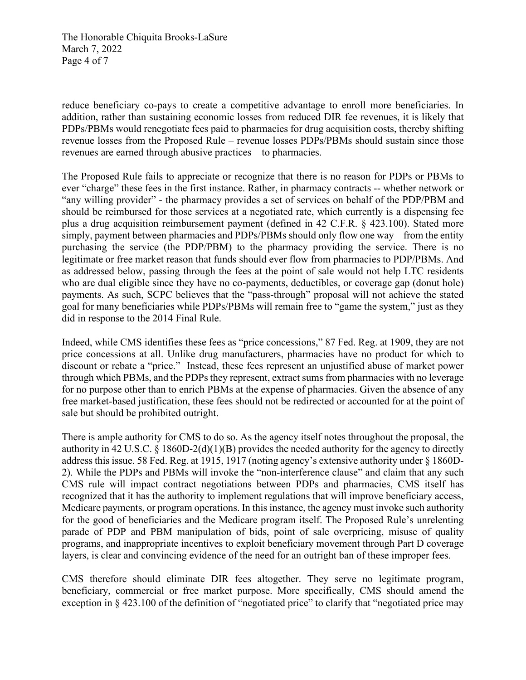The Honorable Chiquita Brooks-LaSure March 7, 2022 Page 4 of 7

reduce beneficiary co-pays to create a competitive advantage to enroll more beneficiaries. In addition, rather than sustaining economic losses from reduced DIR fee revenues, it is likely that PDPs/PBMs would renegotiate fees paid to pharmacies for drug acquisition costs, thereby shifting revenue losses from the Proposed Rule – revenue losses PDPs/PBMs should sustain since those revenues are earned through abusive practices – to pharmacies.

The Proposed Rule fails to appreciate or recognize that there is no reason for PDPs or PBMs to ever "charge" these fees in the first instance. Rather, in pharmacy contracts -- whether network or "any willing provider" - the pharmacy provides a set of services on behalf of the PDP/PBM and should be reimbursed for those services at a negotiated rate, which currently is a dispensing fee plus a drug acquisition reimbursement payment (defined in 42 C.F.R. § 423.100). Stated more simply, payment between pharmacies and PDPs/PBMs should only flow one way – from the entity purchasing the service (the PDP/PBM) to the pharmacy providing the service. There is no legitimate or free market reason that funds should ever flow from pharmacies to PDP/PBMs. And as addressed below, passing through the fees at the point of sale would not help LTC residents who are dual eligible since they have no co-payments, deductibles, or coverage gap (donut hole) payments. As such, SCPC believes that the "pass-through" proposal will not achieve the stated goal for many beneficiaries while PDPs/PBMs will remain free to "game the system," just as they did in response to the 2014 Final Rule.

Indeed, while CMS identifies these fees as "price concessions," 87 Fed. Reg. at 1909, they are not price concessions at all. Unlike drug manufacturers, pharmacies have no product for which to discount or rebate a "price." Instead, these fees represent an unjustified abuse of market power through which PBMs, and the PDPs they represent, extract sums from pharmacies with no leverage for no purpose other than to enrich PBMs at the expense of pharmacies. Given the absence of any free market-based justification, these fees should not be redirected or accounted for at the point of sale but should be prohibited outright.

There is ample authority for CMS to do so. As the agency itself notes throughout the proposal, the authority in 42 U.S.C. § 1860D-2(d)(1)(B) provides the needed authority for the agency to directly address this issue. 58 Fed. Reg. at 1915, 1917 (noting agency's extensive authority under § 1860D-2). While the PDPs and PBMs will invoke the "non-interference clause" and claim that any such CMS rule will impact contract negotiations between PDPs and pharmacies, CMS itself has recognized that it has the authority to implement regulations that will improve beneficiary access, Medicare payments, or program operations. In this instance, the agency must invoke such authority for the good of beneficiaries and the Medicare program itself. The Proposed Rule's unrelenting parade of PDP and PBM manipulation of bids, point of sale overpricing, misuse of quality programs, and inappropriate incentives to exploit beneficiary movement through Part D coverage layers, is clear and convincing evidence of the need for an outright ban of these improper fees.

CMS therefore should eliminate DIR fees altogether. They serve no legitimate program, beneficiary, commercial or free market purpose. More specifically, CMS should amend the exception in § 423.100 of the definition of "negotiated price" to clarify that "negotiated price may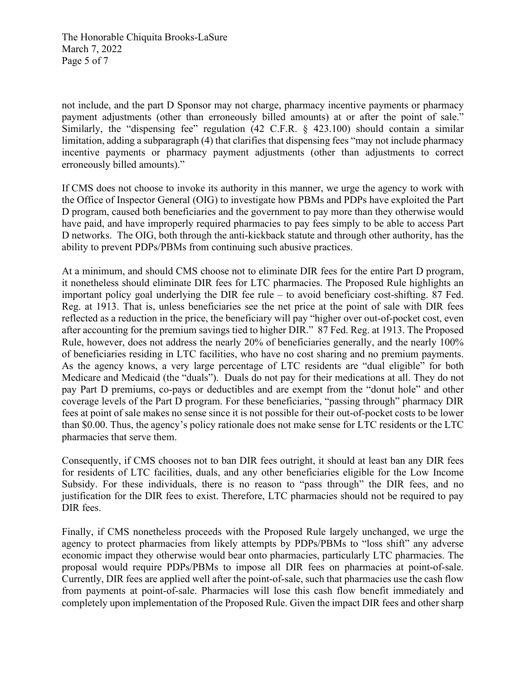The Honorable Chiquita Brooks-LaSure March 7, 2022 Page 5 of 7

not include, and the part D Sponsor may not charge, pharmacy incentive payments or pharmacy payment adjustments (other than erroneously billed amounts) at or after the point of sale." Similarly, the "dispensing fee" regulation  $(42 \text{ C.F.R. } \S$  423.100) should contain a similar limitation, adding a subparagraph (4) that clarifies that dispensing fees "may not include pharmacy incentive payments or pharmacy payment adjustments (other than adjustments to correct erroneously billed amounts)."

If CMS does not choose to invoke its authority in this manner, we urge the agency to work with the Office of Inspector General (OIG) to investigate how PBMs and PDPs have exploited the Part D program, caused both beneficiaries and the government to pay more than they otherwise would have paid, and have improperly required pharmacies to pay fees simply to be able to access Part D networks. The OIG, both through the anti-kickback statute and through other authority, has the ability to prevent PDPs/PBMs from continuing such abusive practices.

At a minimum, and should CMS choose not to eliminate DIR fees for the entire Part D program, it nonetheless should eliminate DIR fees for LTC pharmacies. The Proposed Rule highlights an important policy goal underlying the DIR fee rule – to avoid beneficiary cost-shifting. 87 Fed. Reg. at 1913. That is, unless beneficiaries see the net price at the point of sale with DIR fees reflected as a reduction in the price, the beneficiary will pay "higher over out-of-pocket cost, even after accounting for the premium savings tied to higher DIR." 87 Fed. Reg. at 1913. The Proposed Rule, however, does not address the nearly 20% of beneficiaries generally, and the nearly 100% of beneficiaries residing in LTC facilities, who have no cost sharing and no premium payments. As the agency knows, a very large percentage of LTC residents are "dual eligible" for both Medicare and Medicaid (the "duals"). Duals do not pay for their medications at all. They do not pay Part D premiums, co-pays or deductibles and are exempt from the "donut hole" and other coverage levels of the Part D program. For these beneficiaries, "passing through" pharmacy DIR fees at point of sale makes no sense since it is not possible for their out-of-pocket costs to be lower than \$0.00. Thus, the agency's policy rationale does not make sense for LTC residents or the LTC pharmacies that serve them.

Consequently, if CMS chooses not to ban DIR fees outright, it should at least ban any DIR fees for residents of LTC facilities, duals, and any other beneficiaries eligible for the Low Income Subsidy. For these individuals, there is no reason to "pass through" the DIR fees, and no justification for the DIR fees to exist. Therefore, LTC pharmacies should not be required to pay DIR fees.

Finally, if CMS nonetheless proceeds with the Proposed Rule largely unchanged, we urge the agency to protect pharmacies from likely attempts by PDPs/PBMs to "loss shift" any adverse economic impact they otherwise would bear onto pharmacies, particularly LTC pharmacies. The proposal would require PDPs/PBMs to impose all DIR fees on pharmacies at point-of-sale. Currently, DIR fees are applied well after the point-of-sale, such that pharmacies use the cash flow from payments at point-of-sale. Pharmacies will lose this cash flow benefit immediately and completely upon implementation of the Proposed Rule. Given the impact DIR fees and other sharp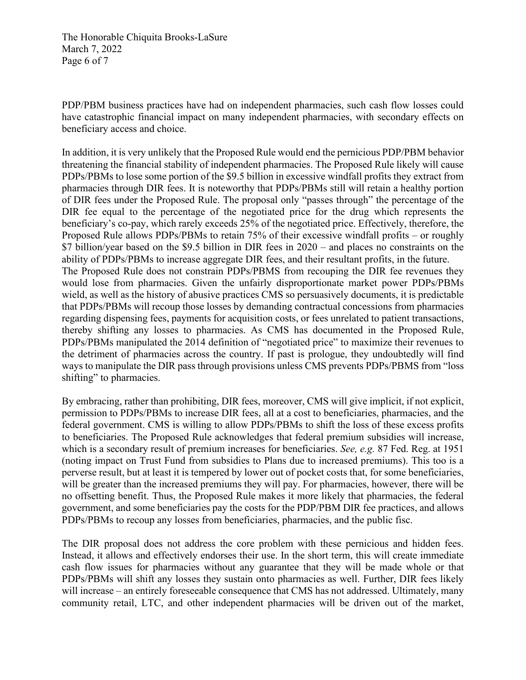The Honorable Chiquita Brooks-LaSure March 7, 2022 Page 6 of 7

PDP/PBM business practices have had on independent pharmacies, such cash flow losses could have catastrophic financial impact on many independent pharmacies, with secondary effects on beneficiary access and choice.

In addition, it is very unlikely that the Proposed Rule would end the pernicious PDP/PBM behavior threatening the financial stability of independent pharmacies. The Proposed Rule likely will cause PDPs/PBMs to lose some portion of the \$9.5 billion in excessive windfall profits they extract from pharmacies through DIR fees. It is noteworthy that PDPs/PBMs still will retain a healthy portion of DIR fees under the Proposed Rule. The proposal only "passes through" the percentage of the DIR fee equal to the percentage of the negotiated price for the drug which represents the beneficiary's co-pay, which rarely exceeds 25% of the negotiated price. Effectively, therefore, the Proposed Rule allows PDPs/PBMs to retain 75% of their excessive windfall profits – or roughly \$7 billion/year based on the \$9.5 billion in DIR fees in 2020 – and places no constraints on the ability of PDPs/PBMs to increase aggregate DIR fees, and their resultant profits, in the future. The Proposed Rule does not constrain PDPs/PBMS from recouping the DIR fee revenues they would lose from pharmacies. Given the unfairly disproportionate market power PDPs/PBMs wield, as well as the history of abusive practices CMS so persuasively documents, it is predictable that PDPs/PBMs will recoup those losses by demanding contractual concessions from pharmacies regarding dispensing fees, payments for acquisition costs, or fees unrelated to patient transactions, thereby shifting any losses to pharmacies. As CMS has documented in the Proposed Rule, PDPs/PBMs manipulated the 2014 definition of "negotiated price" to maximize their revenues to the detriment of pharmacies across the country. If past is prologue, they undoubtedly will find ways to manipulate the DIR pass through provisions unless CMS prevents PDPs/PBMS from "loss shifting" to pharmacies.

By embracing, rather than prohibiting, DIR fees, moreover, CMS will give implicit, if not explicit, permission to PDPs/PBMs to increase DIR fees, all at a cost to beneficiaries, pharmacies, and the federal government. CMS is willing to allow PDPs/PBMs to shift the loss of these excess profits to beneficiaries. The Proposed Rule acknowledges that federal premium subsidies will increase, which is a secondary result of premium increases for beneficiaries. *See, e.g.* 87 Fed. Reg. at 1951 (noting impact on Trust Fund from subsidies to Plans due to increased premiums). This too is a perverse result, but at least it is tempered by lower out of pocket costs that, for some beneficiaries, will be greater than the increased premiums they will pay. For pharmacies, however, there will be no offsetting benefit. Thus, the Proposed Rule makes it more likely that pharmacies, the federal government, and some beneficiaries pay the costs for the PDP/PBM DIR fee practices, and allows PDPs/PBMs to recoup any losses from beneficiaries, pharmacies, and the public fisc.

The DIR proposal does not address the core problem with these pernicious and hidden fees. Instead, it allows and effectively endorses their use. In the short term, this will create immediate cash flow issues for pharmacies without any guarantee that they will be made whole or that PDPs/PBMs will shift any losses they sustain onto pharmacies as well. Further, DIR fees likely will increase – an entirely foreseeable consequence that CMS has not addressed. Ultimately, many community retail, LTC, and other independent pharmacies will be driven out of the market,